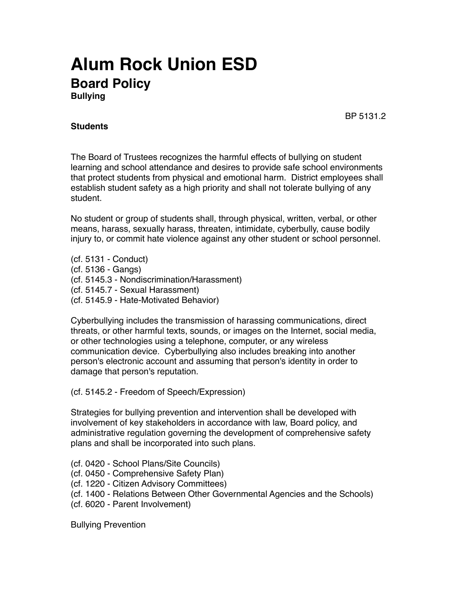## **Alum Rock Union ESD Board Policy Bullying**

BP 5131.2

## **Students**

The Board of Trustees recognizes the harmful effects of bullying on student learning and school attendance and desires to provide safe school environments that protect students from physical and emotional harm. District employees shall establish student safety as a high priority and shall not tolerate bullying of any student.

No student or group of students shall, through physical, written, verbal, or other means, harass, sexually harass, threaten, intimidate, cyberbully, cause bodily injury to, or commit hate violence against any other student or school personnel.

(cf. 5131 - Conduct) (cf. 5136 - Gangs) (cf. 5145.3 - Nondiscrimination/Harassment) (cf. 5145.7 - Sexual Harassment) (cf. 5145.9 - Hate-Motivated Behavior)

Cyberbullying includes the transmission of harassing communications, direct threats, or other harmful texts, sounds, or images on the Internet, social media, or other technologies using a telephone, computer, or any wireless communication device. Cyberbullying also includes breaking into another person's electronic account and assuming that person's identity in order to damage that person's reputation.

(cf. 5145.2 - Freedom of Speech/Expression)

Strategies for bullying prevention and intervention shall be developed with involvement of key stakeholders in accordance with law, Board policy, and administrative regulation governing the development of comprehensive safety plans and shall be incorporated into such plans.

- (cf. 0420 School Plans/Site Councils)
- (cf. 0450 Comprehensive Safety Plan)
- (cf. 1220 Citizen Advisory Committees)
- (cf. 1400 Relations Between Other Governmental Agencies and the Schools)
- (cf. 6020 Parent Involvement)

Bullying Prevention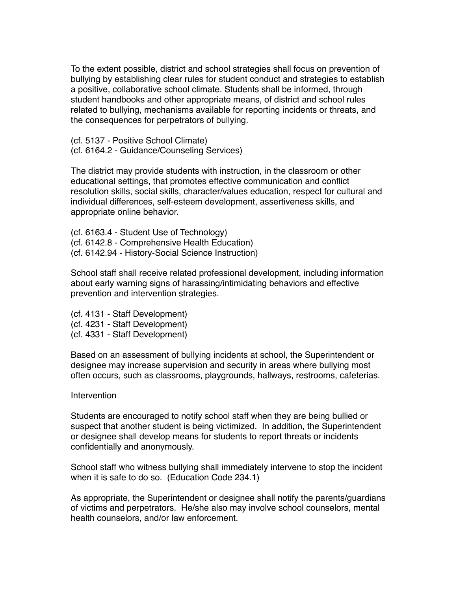To the extent possible, district and school strategies shall focus on prevention of bullying by establishing clear rules for student conduct and strategies to establish a positive, collaborative school climate. Students shall be informed, through student handbooks and other appropriate means, of district and school rules related to bullying, mechanisms available for reporting incidents or threats, and the consequences for perpetrators of bullying.

(cf. 5137 - Positive School Climate) (cf. 6164.2 - Guidance/Counseling Services)

The district may provide students with instruction, in the classroom or other educational settings, that promotes effective communication and conflict resolution skills, social skills, character/values education, respect for cultural and individual differences, self-esteem development, assertiveness skills, and appropriate online behavior.

(cf. 6163.4 - Student Use of Technology) (cf. 6142.8 - Comprehensive Health Education) (cf. 6142.94 - History-Social Science Instruction)

School staff shall receive related professional development, including information about early warning signs of harassing/intimidating behaviors and effective prevention and intervention strategies.

(cf. 4131 - Staff Development) (cf. 4231 - Staff Development) (cf. 4331 - Staff Development)

Based on an assessment of bullying incidents at school, the Superintendent or designee may increase supervision and security in areas where bullying most often occurs, such as classrooms, playgrounds, hallways, restrooms, cafeterias.

## **Intervention**

Students are encouraged to notify school staff when they are being bullied or suspect that another student is being victimized. In addition, the Superintendent or designee shall develop means for students to report threats or incidents confidentially and anonymously.

School staff who witness bullying shall immediately intervene to stop the incident when it is safe to do so. (Education Code 234.1)

As appropriate, the Superintendent or designee shall notify the parents/guardians of victims and perpetrators. He/she also may involve school counselors, mental health counselors, and/or law enforcement.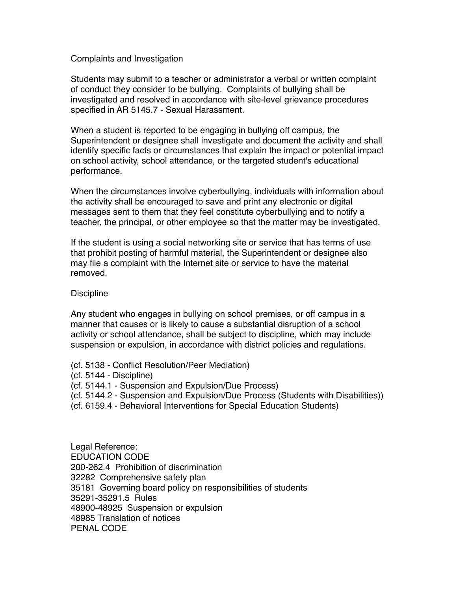Complaints and Investigation

Students may submit to a teacher or administrator a verbal or written complaint of conduct they consider to be bullying. Complaints of bullying shall be investigated and resolved in accordance with site-level grievance procedures specified in AR 5145.7 - Sexual Harassment.

When a student is reported to be engaging in bullying off campus, the Superintendent or designee shall investigate and document the activity and shall identify specific facts or circumstances that explain the impact or potential impact on school activity, school attendance, or the targeted student's educational performance.

When the circumstances involve cyberbullying, individuals with information about the activity shall be encouraged to save and print any electronic or digital messages sent to them that they feel constitute cyberbullying and to notify a teacher, the principal, or other employee so that the matter may be investigated.

If the student is using a social networking site or service that has terms of use that prohibit posting of harmful material, the Superintendent or designee also may file a complaint with the Internet site or service to have the material removed.

## **Discipline**

Any student who engages in bullying on school premises, or off campus in a manner that causes or is likely to cause a substantial disruption of a school activity or school attendance, shall be subject to discipline, which may include suspension or expulsion, in accordance with district policies and regulations.

- (cf. 5138 Conflict Resolution/Peer Mediation)
- (cf. 5144 Discipline)
- (cf. 5144.1 Suspension and Expulsion/Due Process)
- (cf. 5144.2 Suspension and Expulsion/Due Process (Students with Disabilities))
- (cf. 6159.4 Behavioral Interventions for Special Education Students)

Legal Reference: EDUCATION CODE 200-262.4 Prohibition of discrimination 32282 Comprehensive safety plan 35181 Governing board policy on responsibilities of students 35291-35291.5 Rules 48900-48925 Suspension or expulsion 48985 Translation of notices PENAL CODE